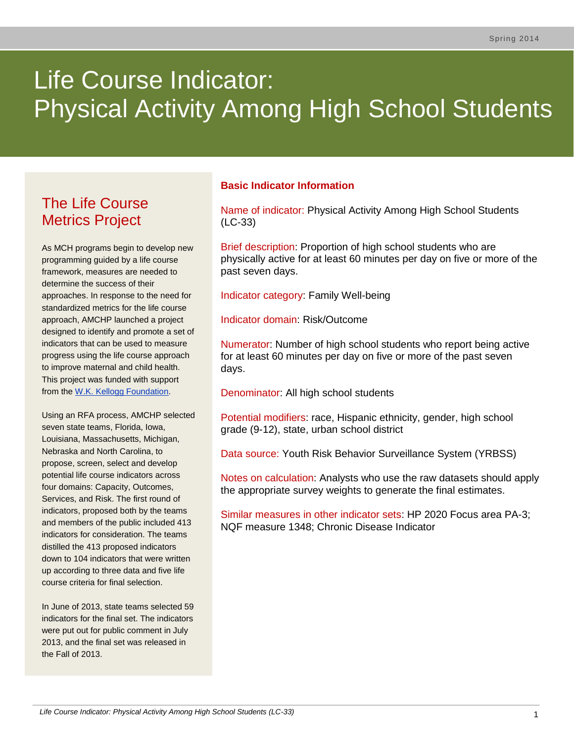# Life Course Indicator: Physical Activity Among High School Students

# The Life Course Metrics Project

As MCH programs begin to develop new programming guided by a life course framework, measures are needed to determine the success of their approaches. In response to the need for standardized metrics for the life course approach, AMCHP launched a project designed to identify and promote a set of indicators that can be used to measure progress using the life course approach to improve maternal and child health. This project was funded with support from the [W.K. Kellogg Foundation.](http://www.wkkf.org/)

Using an RFA process, AMCHP selected seven state teams, Florida, Iowa, Louisiana, Massachusetts, Michigan, Nebraska and North Carolina, to propose, screen, select and develop potential life course indicators across four domains: Capacity, Outcomes, Services, and Risk. The first round of indicators, proposed both by the teams and members of the public included 413 indicators for consideration. The teams distilled the 413 proposed indicators down to 104 indicators that were written up according to three data and five life course criteria for final selection.

In June of 2013, state teams selected 59 indicators for the final set. The indicators were put out for public comment in July 2013, and the final set was released in the Fall of 2013.

#### **Basic Indicator Information**

Name of indicator: Physical Activity Among High School Students (LC-33)

Brief description: Proportion of high school students who are physically active for at least 60 minutes per day on five or more of the past seven days.

Indicator category: Family Well-being

Indicator domain: Risk/Outcome

Numerator: Number of high school students who report being active for at least 60 minutes per day on five or more of the past seven days.

Denominator: All high school students

Potential modifiers: race, Hispanic ethnicity, gender, high school grade (9-12), state, urban school district

Data source: Youth Risk Behavior Surveillance System (YRBSS)

Notes on calculation: Analysts who use the raw datasets should apply the appropriate survey weights to generate the final estimates.

Similar measures in other indicator sets: HP 2020 Focus area PA-3; NQF measure 1348; Chronic Disease Indicator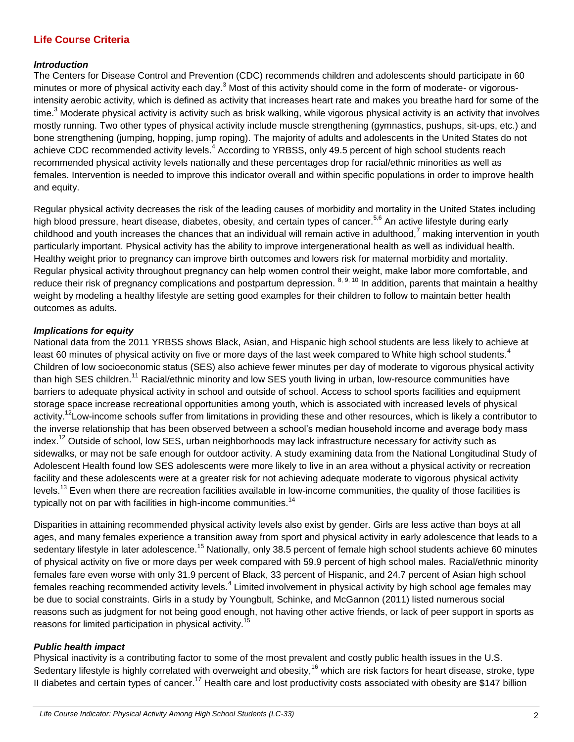## **Life Course Criteria**

#### *Introduction*

The Centers for Disease Control and Prevention (CDC) recommends children and adolescents should participate in 60 minutes or more of physical activity each day.<sup>3</sup> Most of this activity should come in the form of moderate- or vigorousintensity aerobic activity, which is defined as activity that increases heart rate and makes you breathe hard for some of the time.<sup>3</sup> Moderate physical activity is activity such as brisk walking, while vigorous physical activity is an activity that involves mostly running. Two other types of physical activity include muscle strengthening (gymnastics, pushups, sit-ups, etc.) and bone strengthening (jumping, hopping, jump roping). The majority of adults and adolescents in the United States do not achieve CDC recommended activity levels.<sup>4</sup> According to YRBSS, only 49.5 percent of high school students reach recommended physical activity levels nationally and these percentages drop for racial/ethnic minorities as well as females. Intervention is needed to improve this indicator overall and within specific populations in order to improve health and equity.

Regular physical activity decreases the risk of the leading causes of morbidity and mortality in the United States including high blood pressure, heart disease, diabetes, obesity, and certain types of cancer.<sup>5,6</sup> An active lifestyle during early childhood and youth increases the chances that an individual will remain active in adulthood,<sup>7</sup> making intervention in youth particularly important. Physical activity has the ability to improve intergenerational health as well as individual health. Healthy weight prior to pregnancy can improve birth outcomes and lowers risk for maternal morbidity and mortality. Regular physical activity throughout pregnancy can help women control their weight, make labor more comfortable, and reduce their risk of pregnancy complications and postpartum depression. 8, 9, 10 In addition, parents that maintain a healthy weight by modeling a healthy lifestyle are setting good examples for their children to follow to maintain better health outcomes as adults.

#### *Implications for equity*

National data from the 2011 YRBSS shows Black, Asian, and Hispanic high school students are less likely to achieve at least 60 minutes of physical activity on five or more days of the last week compared to White high school students.<sup>4</sup> Children of low socioeconomic status (SES) also achieve fewer minutes per day of moderate to vigorous physical activity than high SES children.<sup>11</sup> Racial/ethnic minority and low SES youth living in urban, low-resource communities have barriers to adequate physical activity in school and outside of school. Access to school sports facilities and equipment storage space increase recreational opportunities among youth, which is associated with increased levels of physical activity.<sup>12</sup>Low-income schools suffer from limitations in providing these and other resources, which is likely a contributor to the inverse relationship that has been observed between a school's median household income and average body mass index.<sup>12</sup> Outside of school, low SES, urban neighborhoods may lack infrastructure necessary for activity such as sidewalks, or may not be safe enough for outdoor activity. A study examining data from the National Longitudinal Study of Adolescent Health found low SES adolescents were more likely to live in an area without a physical activity or recreation facility and these adolescents were at a greater risk for not achieving adequate moderate to vigorous physical activity levels.<sup>13</sup> Even when there are recreation facilities available in low-income communities, the quality of those facilities is typically not on par with facilities in high-income communities.<sup>14</sup>

Disparities in attaining recommended physical activity levels also exist by gender. Girls are less active than boys at all ages, and many females experience a transition away from sport and physical activity in early adolescence that leads to a sedentary lifestyle in later adolescence.<sup>15</sup> Nationally, only 38.5 percent of female high school students achieve 60 minutes of physical activity on five or more days per week compared with 59.9 percent of high school males. Racial/ethnic minority females fare even worse with only 31.9 percent of Black, 33 percent of Hispanic, and 24.7 percent of Asian high school females reaching recommended activity levels.<sup>4</sup> Limited involvement in physical activity by high school age females may be due to social constraints. Girls in a study by Youngbult, Schinke, and McGannon (2011) listed numerous social reasons such as judgment for not being good enough, not having other active friends, or lack of peer support in sports as reasons for limited participation in physical activity.<sup>15</sup>

#### *Public health impact*

Physical inactivity is a contributing factor to some of the most prevalent and costly public health issues in the U.S. Sedentary lifestyle is highly correlated with overweight and obesity,<sup>16</sup> which are risk factors for heart disease, stroke, type II diabetes and certain types of cancer.<sup>17</sup> Health care and lost productivity costs associated with obesity are \$147 billion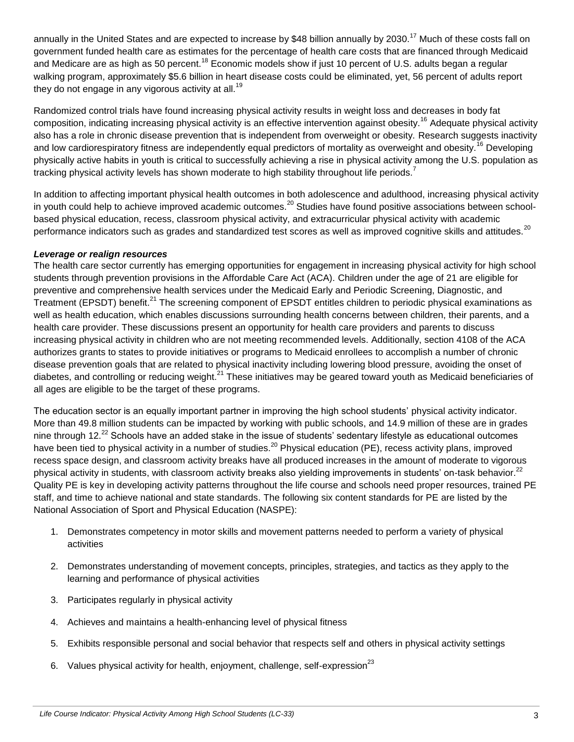annually in the United States and are expected to increase by \$48 billion annually by 2030.<sup>17</sup> Much of these costs fall on government funded health care as estimates for the percentage of health care costs that are financed through Medicaid and Medicare are as high as 50 percent.<sup>18</sup> Economic models show if just 10 percent of U.S. adults began a regular walking program, approximately \$5.6 billion in heart disease costs could be eliminated, yet, 56 percent of adults report they do not engage in any vigorous activity at all.<sup>19</sup>

Randomized control trials have found increasing physical activity results in weight loss and decreases in body fat composition, indicating increasing physical activity is an effective intervention against obesity.<sup>16</sup> Adequate physical activity also has a role in chronic disease prevention that is independent from overweight or obesity. Research suggests inactivity and low cardiorespiratory fitness are independently equal predictors of mortality as overweight and obesity.<sup>16</sup> Developing physically active habits in youth is critical to successfully achieving a rise in physical activity among the U.S. population as tracking physical activity levels has shown moderate to high stability throughout life periods.<sup>7</sup>

In addition to affecting important physical health outcomes in both adolescence and adulthood, increasing physical activity in youth could help to achieve improved academic outcomes.<sup>20</sup> Studies have found positive associations between schoolbased physical education, recess, classroom physical activity, and extracurricular physical activity with academic performance indicators such as grades and standardized test scores as well as improved cognitive skills and attitudes.<sup>20</sup>

#### *Leverage or realign resources*

The health care sector currently has emerging opportunities for engagement in increasing physical activity for high school students through prevention provisions in the Affordable Care Act (ACA). Children under the age of 21 are eligible for preventive and comprehensive health services under the Medicaid Early and Periodic Screening, Diagnostic, and Treatment (EPSDT) benefit.<sup>21</sup> The screening component of EPSDT entitles children to periodic physical examinations as well as health education, which enables discussions surrounding health concerns between children, their parents, and a health care provider. These discussions present an opportunity for health care providers and parents to discuss increasing physical activity in children who are not meeting recommended levels. Additionally, section 4108 of the ACA authorizes grants to states to provide initiatives or programs to Medicaid enrollees to accomplish a number of chronic disease prevention goals that are related to physical inactivity including lowering blood pressure, avoiding the onset of diabetes, and controlling or reducing weight.<sup>21</sup> These initiatives may be geared toward youth as Medicaid beneficiaries of all ages are eligible to be the target of these programs.

The education sector is an equally important partner in improving the high school students' physical activity indicator. More than 49.8 million students can be impacted by working with public schools, and 14.9 million of these are in grades nine through 12.<sup>22</sup> Schools have an added stake in the issue of students' sedentary lifestyle as educational outcomes have been tied to physical activity in a number of studies.<sup>20</sup> Physical education (PE), recess activity plans, improved recess space design, and classroom activity breaks have all produced increases in the amount of moderate to vigorous physical activity in students, with classroom activity breaks also yielding improvements in students' on-task behavior.<sup>22</sup> Quality PE is key in developing activity patterns throughout the life course and schools need proper resources, trained PE staff, and time to achieve national and state standards. The following six content standards for PE are listed by the National Association of Sport and Physical Education (NASPE):

- 1. Demonstrates competency in motor skills and movement patterns needed to perform a variety of physical activities
- 2. Demonstrates understanding of movement concepts, principles, strategies, and tactics as they apply to the learning and performance of physical activities
- 3. Participates regularly in physical activity
- 4. Achieves and maintains a health-enhancing level of physical fitness
- 5. Exhibits responsible personal and social behavior that respects self and others in physical activity settings
- 6. Values physical activity for health, enjoyment, challenge, self-expression<sup>23</sup>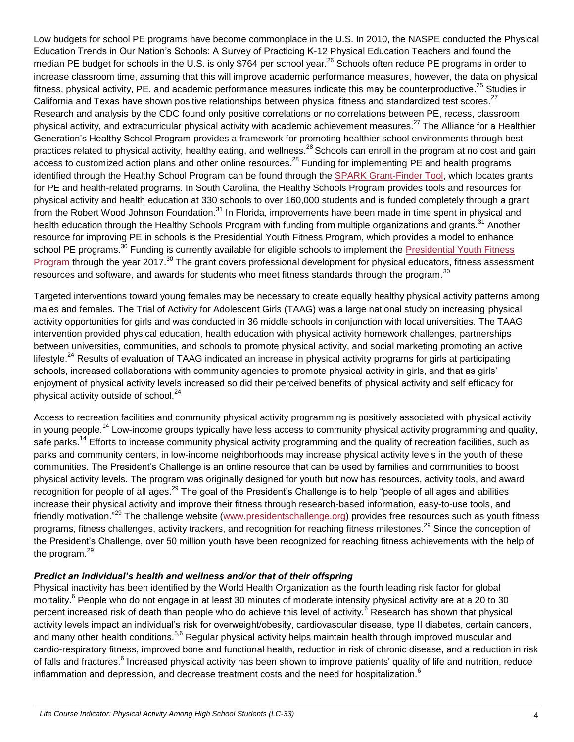Low budgets for school PE programs have become commonplace in the U.S. In 2010, the NASPE conducted the Physical Education Trends in Our Nation's Schools: A Survey of Practicing K-12 Physical Education Teachers and found the median PE budget for schools in the U.S. is only \$764 per school year.<sup>26</sup> Schools often reduce PE programs in order to increase classroom time, assuming that this will improve academic performance measures, however, the data on physical fitness, physical activity, PE, and academic performance measures indicate this may be counterproductive.<sup>25</sup> Studies in California and Texas have shown positive relationships between physical fitness and standardized test scores.<sup>27</sup> Research and analysis by the CDC found only positive correlations or no correlations between PE, recess, classroom physical activity, and extracurricular physical activity with academic achievement measures.<sup>27</sup> The Alliance for a Healthier Generation's Healthy School Program provides a framework for promoting healthier school environments through best practices related to physical activity, healthy eating, and wellness.<sup>28</sup> Schools can enroll in the program at no cost and gain access to customized action plans and other online resources.<sup>28</sup> Funding for implementing PE and health programs identified through the Healthy School Program can be found through the [SPARK Grant-Finder Tool,](http://www.sparkpe.org/grants/grantfunding-resources) which locates grants for PE and health-related programs. In South Carolina, the Healthy Schools Program provides tools and resources for physical activity and health education at 330 schools to over 160,000 students and is funded completely through a grant from the Robert Wood Johnson Foundation.<sup>31</sup> In Florida, improvements have been made in time spent in physical and health education through the Healthy Schools Program with funding from multiple organizations and grants.<sup>31</sup> Another resource for improving PE in schools is the Presidential Youth Fitness Program, which provides a model to enhance school PE programs.<sup>30</sup> Funding is currently available for eligible schools to implement the Presidential Youth Fitness [Program](http://pyfp.org/funding/) through the year 2017.<sup>30</sup> The grant covers professional development for physical educators, fitness assessment resources and software, and awards for students who meet fitness standards through the program.<sup>30</sup>

Targeted interventions toward young females may be necessary to create equally healthy physical activity patterns among males and females. The Trial of Activity for Adolescent Girls (TAAG) was a large national study on increasing physical activity opportunities for girls and was conducted in 36 middle schools in conjunction with local universities. The TAAG intervention provided physical education, health education with physical activity homework challenges, partnerships between universities, communities, and schools to promote physical activity, and social marketing promoting an active lifestyle.<sup>24</sup> Results of evaluation of TAAG indicated an increase in physical activity programs for girls at participating schools, increased collaborations with community agencies to promote physical activity in girls, and that as girls' enjoyment of physical activity levels increased so did their perceived benefits of physical activity and self efficacy for physical activity outside of school.<sup>24</sup>

Access to recreation facilities and community physical activity programming is positively associated with physical activity in voung people.<sup>14</sup> Low-income groups typically have less access to community physical activity programming and quality, safe parks.<sup>14</sup> Efforts to increase community physical activity programming and the quality of recreation facilities, such as parks and community centers, in low-income neighborhoods may increase physical activity levels in the youth of these communities. The President's Challenge is an online resource that can be used by families and communities to boost physical activity levels. The program was originally designed for youth but now has resources, activity tools, and award recognition for people of all ages.<sup>29</sup> The goal of the President's Challenge is to help "people of all ages and abilities increase their physical activity and improve their fitness through research-based information, easy-to-use tools, and friendly motivation."<sup>29</sup> The challenge website [\(www.presidentschallenge.org\)](http://www.presidentschallenge.org/) provides free resources such as youth fitness programs, fitness challenges, activity trackers, and recognition for reaching fitness milestones.<sup>29</sup> Since the conception of the President's Challenge, over 50 million youth have been recognized for reaching fitness achievements with the help of the program. $^{29}$ 

#### *Predict an individual's health and wellness and/or that of their offspring*

Physical inactivity has been identified by the World Health Organization as the fourth leading risk factor for global mortality.<sup>6</sup> People who do not engage in at least 30 minutes of moderate intensity physical activity are at a 20 to 30 percent increased risk of death than people who do achieve this level of activity.<sup>6</sup> Research has shown that physical activity levels impact an individual's risk for overweight/obesity, cardiovascular disease, type II diabetes, certain cancers, and many other health conditions.<sup>5,6</sup> Regular physical activity helps maintain health through improved muscular and cardio-respiratory fitness, improved bone and functional health, reduction in risk of chronic disease, and a reduction in risk of falls and fractures.<sup>6</sup> Increased physical activity has been shown to improve patients' quality of life and nutrition, reduce inflammation and depression, and decrease treatment costs and the need for hospitalization. $<sup>6</sup>$ </sup>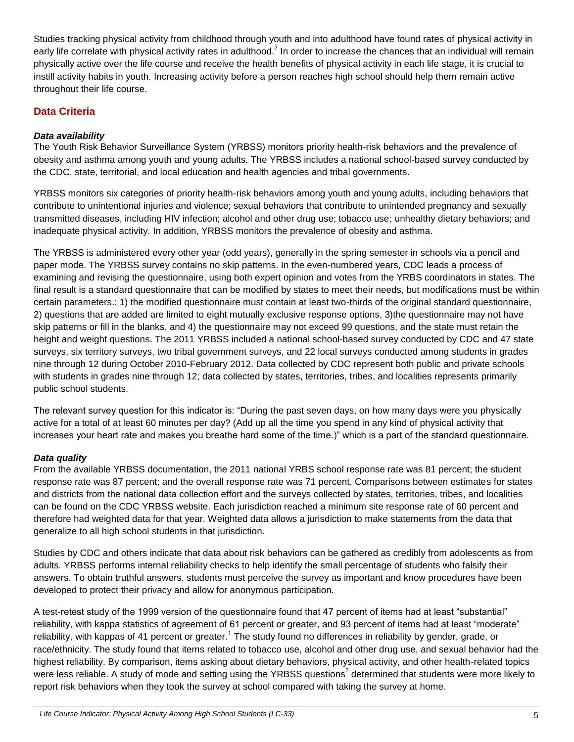Studies tracking physical activity from childhood through youth and into adulthood have found rates of physical activity in early life correlate with physical activity rates in adulthood.<sup>7</sup> In order to increase the chances that an individual will remain physically active over the life course and receive the health benefits of physical activity in each life stage, it is crucial to instill activity habits in youth. Increasing activity before a person reaches high school should help them remain active throughout their life course.

# **Data Criteria**

#### *Data availability*

The Youth Risk Behavior Surveillance System (YRBSS) monitors priority health-risk behaviors and the prevalence of obesity and asthma among youth and young adults. The YRBSS includes a national school-based survey conducted by the CDC, state, territorial, and local education and health agencies and tribal governments.

YRBSS monitors six categories of priority health-risk behaviors among youth and young adults, including behaviors that contribute to unintentional injuries and violence; sexual behaviors that contribute to unintended pregnancy and sexually transmitted diseases, including HIV infection; alcohol and other drug use; tobacco use; unhealthy dietary behaviors; and inadequate physical activity. In addition, YRBSS monitors the prevalence of obesity and asthma.

The YRBSS is administered every other year (odd years), generally in the spring semester in schools via a pencil and paper mode. The YRBSS survey contains no skip patterns. In the even-numbered years, CDC leads a process of examining and revising the questionnaire, using both expert opinion and votes from the YRBS coordinators in states. The final result is a standard questionnaire that can be modified by states to meet their needs, but modifications must be within certain parameters.: 1) the modified questionnaire must contain at least two-thirds of the original standard questionnaire, 2) questions that are added are limited to eight mutually exclusive response options, 3)the questionnaire may not have skip patterns or fill in the blanks, and 4) the questionnaire may not exceed 99 questions, and the state must retain the height and weight questions. The 2011 YRBSS included a national school-based survey conducted by CDC and 47 state surveys, six territory surveys, two tribal government surveys, and 22 local surveys conducted among students in grades nine through 12 during October 2010-February 2012. Data collected by CDC represent both public and private schools with students in grades nine through 12; data collected by states, territories, tribes, and localities represents primarily public school students.

The relevant survey question for this indicator is: "During the past seven days, on how many days were you physically active for a total of at least 60 minutes per day? (Add up all the time you spend in any kind of physical activity that increases your heart rate and makes you breathe hard some of the time.)" which is a part of the standard questionnaire.

### *Data quality*

From the available YRBSS documentation, the 2011 national YRBS school response rate was 81 percent; the student response rate was 87 percent; and the overall response rate was 71 percent. Comparisons between estimates for states and districts from the national data collection effort and the surveys collected by states, territories, tribes, and localities can be found on the CDC YRBSS website. Each jurisdiction reached a minimum site response rate of 60 percent and therefore had weighted data for that year. Weighted data allows a jurisdiction to make statements from the data that generalize to all high school students in that jurisdiction.

Studies by CDC and others indicate that data about risk behaviors can be gathered as credibly from adolescents as from adults. YRBSS performs internal reliability checks to help identify the small percentage of students who falsify their answers. To obtain truthful answers, students must perceive the survey as important and know procedures have been developed to protect their privacy and allow for anonymous participation.

A test-retest study of the 1999 version of the questionnaire found that 47 percent of items had at least "substantial" reliability, with kappa statistics of agreement of 61 percent or greater, and 93 percent of items had at least "moderate" reliability, with kappas of 41 percent or greater.<sup>1</sup> The study found no differences in reliability by gender, grade, or race/ethnicity. The study found that items related to tobacco use, alcohol and other drug use, and sexual behavior had the highest reliability. By comparison, items asking about dietary behaviors, physical activity, and other health-related topics were less reliable. A study of mode and setting using the YRBSS questions<sup>2</sup> determined that students were more likely to report risk behaviors when they took the survey at school compared with taking the survey at home.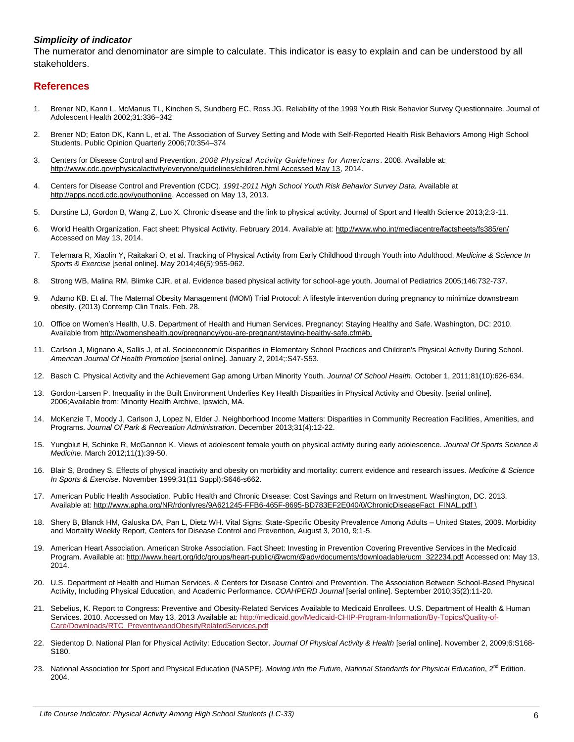#### *Simplicity of indicator*

The numerator and denominator are simple to calculate. This indicator is easy to explain and can be understood by all stakeholders.

#### **References**

- 1. Brener ND, Kann L, McManus TL, Kinchen S, Sundberg EC, Ross JG. Reliability of the 1999 Youth Risk Behavior Survey Questionnaire. Journal of Adolescent Health 2002;31:336–342
- 2. Brener ND; Eaton DK, Kann L, et al. The Association of Survey Setting and Mode with Self-Reported Health Risk Behaviors Among High School Students. Public Opinion Quarterly 2006;70:354–374
- 3. Centers for Disease Control and Prevention. *2008 Physical Activity Guidelines for Americans*. 2008. Available at: [http://www.cdc.gov/physicalactivity/everyone/guidelines/children.html Accessed May 13,](http://www.cdc.gov/physicalactivity/everyone/guidelines/children.html%20Accessed%20May%2013) 2014.
- 4. Centers for Disease Control and Prevention (CDC). *1991-2011 High School Youth Risk Behavior Survey Data.* Available at [http://apps.nccd.cdc.gov/youthonline.](http://apps.nccd.cdc.gov/youthonline) Accessed on May 13, 2013.
- 5. Durstine LJ, Gordon B, Wang Z, Luo X. Chronic disease and the link to physical activity. Journal of Sport and Health Science 2013;2:3-11.
- 6. World Health Organization. Fact sheet: Physical Activity. February 2014. Available at:<http://www.who.int/mediacentre/factsheets/fs385/en/> Accessed on May 13, 2014.
- 7. Telemara R, Xiaolin Y, Raitakari O, et al. Tracking of Physical Activity from Early Childhood through Youth into Adulthood. *Medicine & Science In Sports & Exercise* [serial online]. May 2014;46(5):955-962.
- 8. Strong WB, Malina RM, Blimke CJR, et al. Evidence based physical activity for school-age youth. Journal of Pediatrics 2005;146:732-737.
- 9. Adamo KB. Et al. [The Maternal Obesity Management \(MOM\) Trial Protocol: A lifestyle intervention during pregnancy to minimize downstream](http://www.ncbi.nlm.nih.gov/pubmed/23459089)  [obesity.](http://www.ncbi.nlm.nih.gov/pubmed/23459089) (2013) Contemp Clin Trials. Feb. 28.
- 10. Office on Women's Health, U.S. Department of Health and Human Services. Pregnancy: Staying Healthy and Safe. Washington, DC: 2010. Available from [http://womenshealth.gov/pregnancy/you-are-pregnant/staying-healthy-safe.cfm#b.](http://womenshealth.gov/pregnancy/you-are-pregnant/staying-healthy-safe.cfm#b)
- 11. Carlson J, Mignano A, Sallis J, et al. Socioeconomic Disparities in Elementary School Practices and Children's Physical Activity During School. *American Journal Of Health Promotion* [serial online]. January 2, 2014;:S47-S53.
- 12. Basch C. Physical Activity and the Achievement Gap among Urban Minority Youth. *Journal Of School Health*. October 1, 2011;81(10):626-634.
- 13. Gordon-Larsen P. Inequality in the Built Environment Underlies Key Health Disparities in Physical Activity and Obesity. [serial online]. 2006;Available from: Minority Health Archive, Ipswich, MA.
- 14. McKenzie T, Moody J, Carlson J, Lopez N, Elder J. Neighborhood Income Matters: Disparities in Community Recreation Facilities, Amenities, and Programs. *Journal Of Park & Recreation Administration*. December 2013;31(4):12-22.
- 15. Yungblut H, Schinke R, McGannon K. Views of adolescent female youth on physical activity during early adolescence. *Journal Of Sports Science & Medicine*. March 2012;11(1):39-50.
- 16. Blair S, Brodney S. Effects of physical inactivity and obesity on morbidity and mortality: current evidence and research issues. *Medicine & Science In Sports & Exercise*. November 1999;31(11 Suppl):S646-s662.
- 17. American Public Health Association. Public Health and Chronic Disease: Cost Savings and Return on Investment. Washington, DC. 2013. Available at: [http://www.apha.org/NR/rdonlyres/9A621245-FFB6-465F-8695-BD783EF2E040/0/ChronicDiseaseFact\\_FINAL.pdf \](http://www.apha.org/NR/rdonlyres/9A621245-FFB6-465F-8695-BD783EF2E040/0/ChronicDiseaseFact_FINAL.pdf%20/)
- 18. Shery B, Blanck HM, Galuska DA, Pan L, Dietz WH. Vital Signs: State-Specific Obesity Prevalence Among Adults United States, 2009. Morbidity and Mortality Weekly Report, Centers for Disease Control and Prevention, August 3, 2010, 9;1-5.
- 19. American Heart Association. American Stroke Association. Fact Sheet: Investing in Prevention Covering Preventive Services in the Medicaid Program. Available at: [http://www.heart.org/idc/groups/heart-public/@wcm/@adv/documents/downloadable/ucm\\_322234.pdf](http://www.heart.org/idc/groups/heart-public/@wcm/@adv/documents/downloadable/ucm_322234.pdf) Accessed on: May 13, 2014.
- 20. U.S. Department of Health and Human Services. & Centers for Disease Control and Prevention. The Association Between School-Based Physical Activity, Including Physical Education, and Academic Performance. *COAHPERD Journal* [serial online]. September 2010;35(2):11-20.
- 21. Sebelius, K. Report to Congress: Preventive and Obesity-Related Services Available to Medicaid Enrollees. U.S. Department of Health & Human Services. 2010. Accessed on May 13, 2013 Available at: [http://medicaid.gov/Medicaid-CHIP-Program-Information/By-Topics/Quality-of-](http://medicaid.gov/Medicaid-CHIP-Program-Information/By-Topics/Quality-of-Care/Downloads/RTC_PreventiveandObesityRelatedServices.pdf)[Care/Downloads/RTC\\_PreventiveandObesityRelatedServices.pdf](http://medicaid.gov/Medicaid-CHIP-Program-Information/By-Topics/Quality-of-Care/Downloads/RTC_PreventiveandObesityRelatedServices.pdf)
- 22. Siedentop D. National Plan for Physical Activity: Education Sector. *Journal Of Physical Activity & Health* [serial online]. November 2, 2009;6:S168- S180.
- 23. National Association for Sport and Physical Education (NASPE). Moving into the Future, National Standards for Physical Education, 2<sup>nd</sup> Edition. 2004.